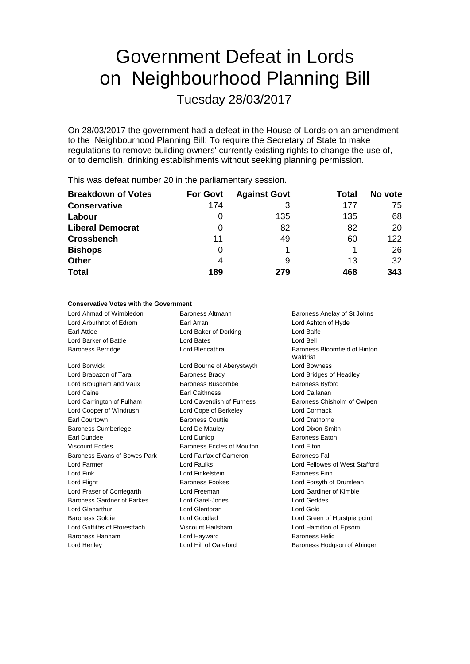# Government Defeat in Lords on Neighbourhood Planning Bill

Tuesday 28/03/2017

On 28/03/2017 the government had a defeat in the House of Lords on an amendment to the Neighbourhood Planning Bill: To require the Secretary of State to make regulations to remove building owners' currently existing rights to change the use of, or to demolish, drinking establishments without seeking planning permission.

| <b>Breakdown of Votes</b> | <b>For Govt</b> | <b>Against Govt</b> | Total | No vote |
|---------------------------|-----------------|---------------------|-------|---------|
| <b>Conservative</b>       | 174             |                     | 177   | 75      |
| Labour                    | O               | 135                 | 135   | 68      |
| <b>Liberal Democrat</b>   | 0               | 82                  | 82    | 20      |
| <b>Crossbench</b>         | 11              | 49                  | 60    | 122     |
| <b>Bishops</b>            | 0               |                     |       | 26      |
| <b>Other</b>              | 4               | 9                   | 13    | 32      |
| <b>Total</b>              | 189             | 279                 | 468   | 343     |
|                           |                 |                     |       |         |

This was defeat number 20 in the parliamentary session.

### **Conservative Votes with the Government**

| Lord Ahmad of Wimbledon       | Baroness Anelay of St Johns<br>Baroness Altmann |                                           |  |
|-------------------------------|-------------------------------------------------|-------------------------------------------|--|
| Lord Arbuthnot of Edrom       | Earl Arran                                      | Lord Ashton of Hyde                       |  |
| Earl Attlee                   | Lord Baker of Dorking                           | Lord Balfe                                |  |
| Lord Barker of Battle         | <b>Lord Bates</b>                               | Lord Bell                                 |  |
| <b>Baroness Berridge</b>      | Lord Blencathra                                 | Baroness Bloomfield of Hinton<br>Waldrist |  |
| Lord Borwick                  | Lord Bourne of Aberystwyth                      | <b>Lord Bowness</b>                       |  |
| Lord Brabazon of Tara         | <b>Baroness Brady</b>                           | Lord Bridges of Headley                   |  |
| Lord Brougham and Vaux        | Baroness Buscombe                               | <b>Baroness Byford</b>                    |  |
| Lord Caine                    | <b>Earl Caithness</b>                           | Lord Callanan                             |  |
| Lord Carrington of Fulham     | Lord Cavendish of Furness                       | Baroness Chisholm of Owlpen               |  |
| Lord Cooper of Windrush       | Lord Cope of Berkeley                           | Lord Cormack                              |  |
| Earl Courtown                 | <b>Baroness Couttie</b>                         | <b>Lord Crathorne</b>                     |  |
| <b>Baroness Cumberlege</b>    | Lord De Mauley                                  | Lord Dixon-Smith                          |  |
| Earl Dundee                   | Lord Dunlop                                     | <b>Baroness Eaton</b>                     |  |
| <b>Viscount Eccles</b>        | Baroness Eccles of Moulton                      | Lord Elton                                |  |
| Baroness Evans of Bowes Park  | Lord Fairfax of Cameron                         | <b>Baroness Fall</b>                      |  |
| Lord Farmer                   | Lord Faulks                                     | Lord Fellowes of West Stafford            |  |
| <b>Lord Fink</b>              | Lord Finkelstein                                | <b>Baroness Finn</b>                      |  |
| Lord Flight                   | Baroness Fookes                                 | Lord Forsyth of Drumlean                  |  |
| Lord Fraser of Corriegarth    | Lord Freeman                                    | Lord Gardiner of Kimble                   |  |
| Baroness Gardner of Parkes    | Lord Garel-Jones                                | Lord Geddes                               |  |
| <b>Lord Glenarthur</b>        | Lord Glentoran                                  | Lord Gold                                 |  |
| <b>Baroness Goldie</b>        | Lord Goodlad                                    | Lord Green of Hurstpierpoint              |  |
| Lord Griffiths of Fforestfach | Lord Hamilton of Epsom<br>Viscount Hailsham     |                                           |  |
| <b>Baroness Hanham</b>        | Lord Hayward                                    | <b>Baroness Helic</b>                     |  |
| Lord Henley                   | Lord Hill of Oareford                           | Baroness Hodgson of Abinger               |  |
|                               |                                                 |                                           |  |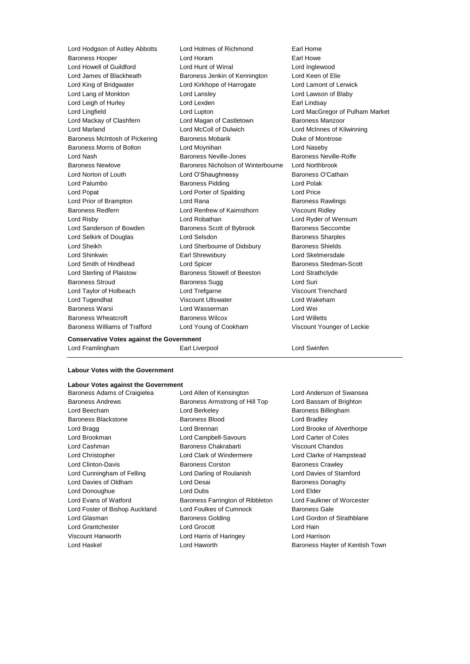Lord Hodgson of Astley Abbotts Lord Holmes of Richmond Earl Home Baroness Hooper Lord Horam Earl Howe Lord Howell of Guildford Lord Hunt of Wirral Lord Inglewood Lord James of Blackheath Baroness Jenkin of Kennington Lord Keen of Elie Lord King of Bridgwater Lord Kirkhope of Harrogate Lord Lamont of Lerwick Lord Lang of Monkton Lord Lansley Lord Lawson of Blaby Lord Leigh of Hurley **Lord Lexden** Lord Lexden **Earl Lindsay** Lord Lingfield Lord Lupton Lord MacGregor of Pulham Market Lord Mackay of Clashfern **Lord Magan of Castletown** Baroness Manzoor Lord Marland Lord McColl of Dulwich Lord McInnes of Kilwinning Baroness McIntosh of Pickering Baroness Mobarik Baroness Montrose Baroness Morris of Bolton Lord Moynihan Lord Naseby Lord Nash **Baroness Neville-Jones** Baroness Neville-Rolfe Baroness Newlove Baroness Nicholson of Winterbourne Lord Northbrook Lord Norton of Louth Lord O'Shaughnessy Baroness O'Cathain Lord Palumbo Baroness Pidding Lord Polak Lord Popat **Lord Content Lord Porter of Spalding Lord Price** Lord Prior of Brampton Lord Rana Baroness Rawlings Baroness Redfern **Lord Renfrew of Kaimsthorn** Viscount Ridley Lord Risby Lord Robathan Lord Ryder of Wensum Lord Sanderson of Bowden Baroness Scott of Bybrook Baroness Seccombe Lord Selkirk of Douglas **Lord Selsdon Lord Selsdon** Baroness Sharples Lord Sheikh **Lord Sherbourne of Didsbury** Baroness Shields Lord Shinkwin Earl Shrewsbury Lord Skelmersdale Lord Smith of Hindhead **Lord Spicer** Lord Spicer **Baroness Stedman-Scott** Lord Sterling of Plaistow Baroness Stowell of Beeston Lord Strathclyde Baroness Stroud Baroness Sugg Lord Suri Lord Taylor of Holbeach Lord Trefgarne Viscount Trenchard Lord Tugendhat Viscount Ullswater Lord Wakeham Baroness Warsi Lord Wasserman Lord Wei Baroness Wheatcroft Baroness Wilcox Lord Willetts Baroness Williams of Trafford Lord Young of Cookham Viscount Younger of Leckie

### **Conservative Votes against the Government**

Lord Framlingham Earl Liverpool Lord Swinfen

### **Labour Votes with the Government**

### **Labour Votes against the Government** Baroness Adams of Craigielea Lord Allen of Kensington Lord Anderson of Swansea

Lord Beecham **Lord Berkeley Baroness Billingham** Baroness Blackstone **Baroness Blood Baroness Blood** Lord Bradley Lord Bragg **Lord Brennan** Lord Brennan Lord Brooke of Alverthorpe Lord Brookman Lord Campbell-Savours Lord Carter of Coles Lord Cashman Baroness Chakrabarti Viscount Chandos Lord Christopher Lord Clark of Windermere Lord Clarke of Hampstead Lord Clinton-Davis Baroness Corston Baroness Crawley Lord Cunningham of Felling Lord Darling of Roulanish Lord Davies of Stamford Lord Davies of Oldham Lord Desai Baroness Donaghy Lord Donoughue Lord Dubs Lord Elder Lord Evans of Watford **Baroness Farrington of Ribbleton** Lord Faulkner of Worcester Lord Foster of Bishop Auckland Lord Foulkes of Cumnock Baroness Gale Lord Glasman **Baroness Golding Baroness Golding Lord Gordon of Strathblane** Lord Grantchester **Lord Grocott** Lord Grocott Lord Hain Viscount Hanworth Lord Harris of Haringey Lord Harrison Lord Haskel **Lord Haworth Baroness Hayter of Kentish Town** Lord Haworth **Baroness Hayter of Kentish Town** 

Baroness Andrews **Baroness Armstrong of Hill Top** Lord Bassam of Brighton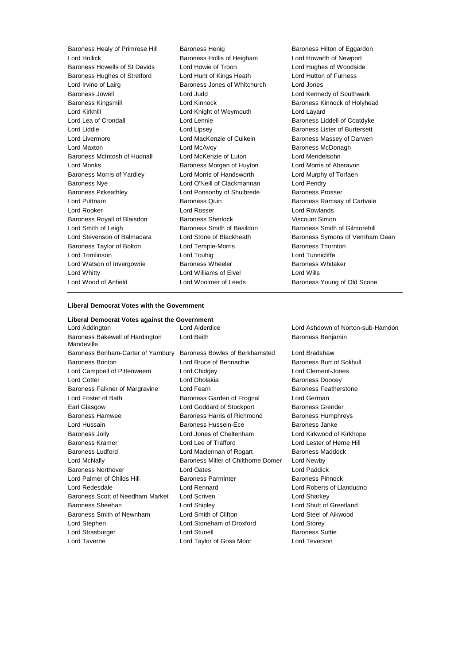Baroness Healy of Primrose Hill Baroness Henig Baroness Hensen Baroness Hilton of Eggardon Lord Hollick Baroness Hollis of Heigham Lord Howarth of Newport Baroness Howells of St Davids Lord Howie of Troon Lord Hughes of Woodside Baroness Hughes of Stretford Lord Hunt of Kings Heath Lord Hutton of Furness Lord Irvine of Lairg Baroness Jones of Whitchurch Lord Jones Baroness Jowell Lord Judd Lord Kennedy of Southwark Baroness Kingsmill **Baroness Kingsmill** Lord Kinnock **Baroness Kinnock of Holyhead** Lord Kirkhill **Lord Knight of Weymouth** Lord Layard Lord Lea of Crondall Lord Lennie Baroness Liddell of Coatdyke Lord Liddle **Lord Lipsey** Lord Lipsey **Baroness Lister of Burtersett** Lord Livermore Lord MacKenzie of Culkein Baroness Massey of Darwen Lord Maxton **Lord McAvoy Baroness McDonagh** Baroness McIntosh of Hudnall Lord McKenzie of Luton Lord Mendelsohn Lord Monks Baroness Morgan of Huyton Lord Morris of Aberavon Baroness Morris of Yardley Lord Morris of Handsworth Lord Murphy of Torfaen Baroness Nye Lord O'Neill of Clackmannan Lord Pendry Baroness Pitkeathley **Lord Ponsonby of Shulbrede** Baroness Prosser Lord Puttnam Baroness Quin Baroness Ramsay of Cartvale Lord Rooker Lord Rosser Lord Rowlands Baroness Royall of Blaisdon Baroness Sherlock Viscount Simon Lord Smith of Leigh Baroness Smith of Basildon Baroness Smith of Gilmorehill Baroness Taylor of Bolton **Lord Temple-Morris Baroness Thornton** Lord Tomlinson Lord Touhig Lord Tunnicliffe Lord Watson of Invergowrie **Baroness Wheeler** Baroness Whitaker Lord Whitty **Lord Williams of Elvel** Lord Wills Lord Wood of Anfield **Lord Woolmer of Leeds** Baroness Young of Old Scone

Lord Stevenson of Balmacara Lord Stone of Blackheath Baroness Symons of Vernham Dean

### **Liberal Democrat Votes with the Government**

**Liberal Democrat Votes against the Government** Lord Addington Lord Alderdice Lord Ashdown of Norton-sub-Hamdon Baroness Bakewell of Hardington Mandeville Baroness Bonham-Carter of Yarnbury Baroness Bowles of Berkhamsted Lord Bradshaw Baroness Brinton Lord Bruce of Bennachie Baroness Burt of Solihull Lord Campbell of Pittenweem Lord Chidgey Lord Clement-Jones Lord Cotter **Lord Dholakia** Baroness Doocey Baroness Falkner of Margravine Lord Fearn **Baroness Featherstone** Baroness Featherstone Lord Foster of Bath Baroness Garden of Frognal Lord German Earl Glasgow Lord Goddard of Stockport Baroness Grender Baroness Hamwee **Baroness Harris of Richmond** Baroness Humphreys Lord Hussain Baroness Hussein-Ece Baroness Janke Baroness Jolly Lord Jones of Cheltenham Lord Kirkwood of Kirkhope Baroness Kramer **Lord Lee of Trafford** Lord Lester of Herne Hill Baroness Ludford Lord Maclennan of Rogart Baroness Maddock Lord McNally **Baroness Miller of Chilthorne Domer** Lord Newby Baroness Northover Lord Oates Lord Paddick Lord Palmer of Childs Hill Baroness Parminter Baroness Parminter Baroness Pinnock Lord Redesdale Lord Rennard Lord Roberts of Llandudno Baroness Scott of Needham Market Lord Scriven Lord Sharkey Baroness Sheehan Lord Shipley Lord Shutt of Greetland Baroness Smith of Newnham Lord Smith of Clifton Lord Steel of Aikwood Lord Stephen Lord Stoneham of Droxford Lord Storey Lord Strasburger **Lord Stunell** Lord Stunell **Baroness** Suttie Lord Taverne Lord Taylor of Goss Moor Lord Teverson

Lord Beith **Baroness Benjamin**